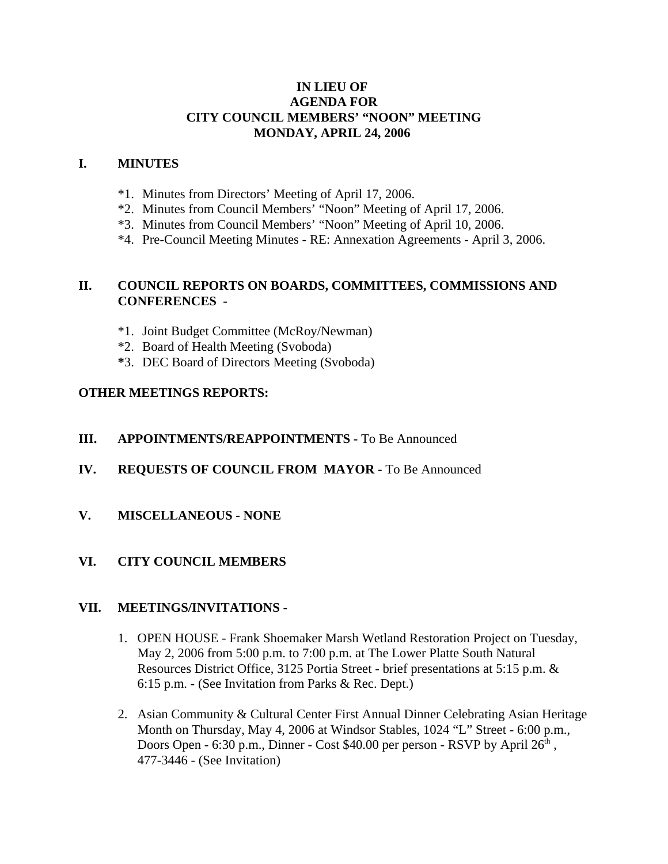### **IN LIEU OF AGENDA FOR CITY COUNCIL MEMBERS' "NOON" MEETING MONDAY, APRIL 24, 2006**

#### **I. MINUTES**

- \*1. Minutes from Directors' Meeting of April 17, 2006.
- \*2. Minutes from Council Members' "Noon" Meeting of April 17, 2006.
- \*3. Minutes from Council Members' "Noon" Meeting of April 10, 2006.
- \*4. Pre-Council Meeting Minutes RE: Annexation Agreements April 3, 2006.

### **II. COUNCIL REPORTS ON BOARDS, COMMITTEES, COMMISSIONS AND CONFERENCES -**

- \*1. Joint Budget Committee (McRoy/Newman)
- \*2. Board of Health Meeting (Svoboda)
- **\***3. DEC Board of Directors Meeting (Svoboda)

## **OTHER MEETINGS REPORTS:**

#### **III.** APPOINTMENTS/REAPPOINTMENTS - To Be Announced

- **IV. REQUESTS OF COUNCIL FROM MAYOR -** To Be Announced
- **V. MISCELLANEOUS NONE**

## **VI. CITY COUNCIL MEMBERS**

#### **VII. MEETINGS/INVITATIONS** -

- 1. OPEN HOUSE Frank Shoemaker Marsh Wetland Restoration Project on Tuesday, May 2, 2006 from 5:00 p.m. to 7:00 p.m. at The Lower Platte South Natural Resources District Office, 3125 Portia Street - brief presentations at 5:15 p.m. & 6:15 p.m. - (See Invitation from Parks & Rec. Dept.)
- 2. Asian Community & Cultural Center First Annual Dinner Celebrating Asian Heritage Month on Thursday, May 4, 2006 at Windsor Stables, 1024 "L" Street - 6:00 p.m., Doors Open - 6:30 p.m., Dinner - Cost  $$40.00$  per person - RSVP by April  $26<sup>th</sup>$ , 477-3446 - (See Invitation)